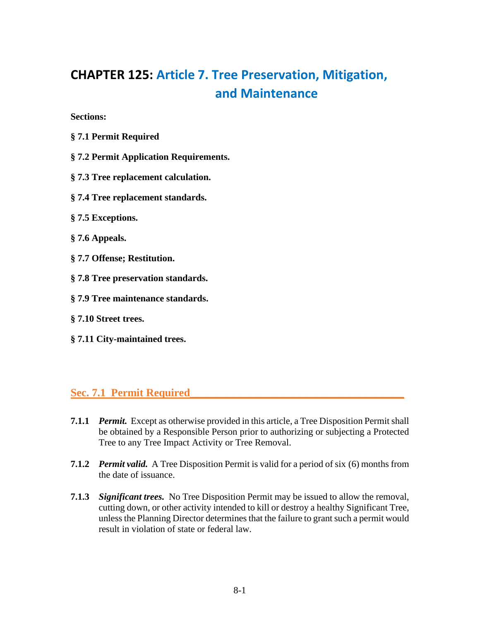# **CHAPTER 125: Article 7. Tree Preservation, Mitigation, and Maintenance**

**Sections:** 

- **§ 7.1 Permit Required**
- **§ 7.2 Permit Application Requirements.**
- **§ 7.3 Tree replacement calculation.**
- **§ 7.4 Tree replacement standards.**
- **§ 7.5 Exceptions.**
- **§ 7.6 Appeals.**
- **§ 7.7 Offense; Restitution.**
- **§ 7.8 Tree preservation standards.**
- **§ 7.9 Tree maintenance standards.**
- **§ 7.10 Street trees.**
- **§ 7.11 City-maintained trees.**

#### **Sec. 7.1 Permit Required\_\_\_\_\_\_\_\_\_\_\_\_\_\_\_\_\_\_\_\_\_\_\_\_\_\_\_\_\_\_\_\_\_\_\_\_\_\_\_**

- **7.1.1** *Permit.* Except as otherwise provided in this article, a Tree Disposition Permit shall be obtained by a Responsible Person prior to authorizing or subjecting a Protected Tree to any Tree Impact Activity or Tree Removal.
- **7.1.2** *Permit valid.* A Tree Disposition Permit is valid for a period of six (6) months from the date of issuance.
- **7.1.3** *Significant trees.* No Tree Disposition Permit may be issued to allow the removal, cutting down, or other activity intended to kill or destroy a healthy Significant Tree, unless the Planning Director determines that the failure to grant such a permit would result in violation of state or federal law.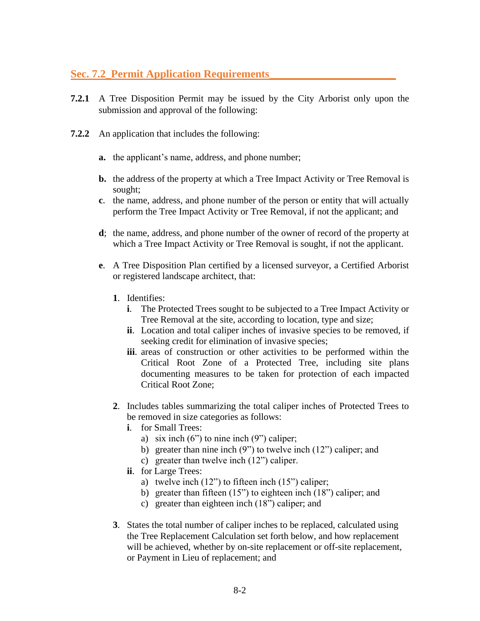# **Sec. 7.2\_Permit Application Requirements\_\_\_\_\_\_\_\_\_\_\_\_\_\_\_\_\_\_\_\_\_\_\_**

- **7.2.1** A Tree Disposition Permit may be issued by the City Arborist only upon the submission and approval of the following:
- **7.2.2** An application that includes the following:
	- **a.** the applicant's name, address, and phone number;
	- **b.** the address of the property at which a Tree Impact Activity or Tree Removal is sought;
	- **c**. the name, address, and phone number of the person or entity that will actually perform the Tree Impact Activity or Tree Removal, if not the applicant; and
	- **d**; the name, address, and phone number of the owner of record of the property at which a Tree Impact Activity or Tree Removal is sought, if not the applicant.
	- **e**. A Tree Disposition Plan certified by a licensed surveyor, a Certified Arborist or registered landscape architect, that:
		- **1**. Identifies:
			- **i**. The Protected Trees sought to be subjected to a Tree Impact Activity or Tree Removal at the site, according to location, type and size;
			- **ii**. Location and total caliper inches of invasive species to be removed, if seeking credit for elimination of invasive species;
			- **iii**. areas of construction or other activities to be performed within the Critical Root Zone of a Protected Tree, including site plans documenting measures to be taken for protection of each impacted Critical Root Zone;
		- **2**. Includes tables summarizing the total caliper inches of Protected Trees to be removed in size categories as follows:
			- **i**. for Small Trees:
				- a) six inch  $(6")$  to nine inch  $(9")$  caliper;
				- b) greater than nine inch (9") to twelve inch (12") caliper; and
				- c) greater than twelve inch (12") caliper.
			- **ii**. for Large Trees:
				- a) twelve inch  $(12")$  to fifteen inch  $(15")$  caliper;
				- b) greater than fifteen (15") to eighteen inch (18") caliper; and
				- c) greater than eighteen inch (18") caliper; and
		- **3**. States the total number of caliper inches to be replaced, calculated using the Tree Replacement Calculation set forth below, and how replacement will be achieved, whether by on-site replacement or off-site replacement, or Payment in Lieu of replacement; and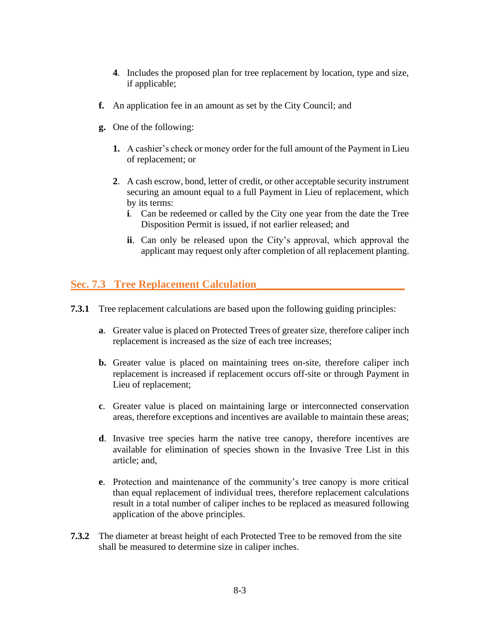- **4**. Includes the proposed plan for tree replacement by location, type and size, if applicable;
- **f.** An application fee in an amount as set by the City Council; and
- **g.** One of the following:
	- **1.** A cashier's check or money order for the full amount of the Payment in Lieu of replacement; or
	- **2**. A cash escrow, bond, letter of credit, or other acceptable security instrument securing an amount equal to a full Payment in Lieu of replacement, which by its terms:
		- **i**. Can be redeemed or called by the City one year from the date the Tree Disposition Permit is issued, if not earlier released; and
		- **ii**. Can only be released upon the City's approval, which approval the applicant may request only after completion of all replacement planting.

#### **Sec. 7.3 Tree Replacement Calculation\_\_\_\_\_\_\_\_\_\_\_\_\_\_\_\_\_\_\_\_\_\_\_\_\_\_\_**

- **7.3.1** Tree replacement calculations are based upon the following guiding principles:
	- **a**. Greater value is placed on Protected Trees of greater size, therefore caliper inch replacement is increased as the size of each tree increases;
	- **b.** Greater value is placed on maintaining trees on-site, therefore caliper inch replacement is increased if replacement occurs off-site or through Payment in Lieu of replacement;
	- **c**. Greater value is placed on maintaining large or interconnected conservation areas, therefore exceptions and incentives are available to maintain these areas;
	- **d**. Invasive tree species harm the native tree canopy, therefore incentives are available for elimination of species shown in the Invasive Tree List in this article; and,
	- **e**. Protection and maintenance of the community's tree canopy is more critical than equal replacement of individual trees, therefore replacement calculations result in a total number of caliper inches to be replaced as measured following application of the above principles.
- **7.3.2** The diameter at breast height of each Protected Tree to be removed from the site shall be measured to determine size in caliper inches.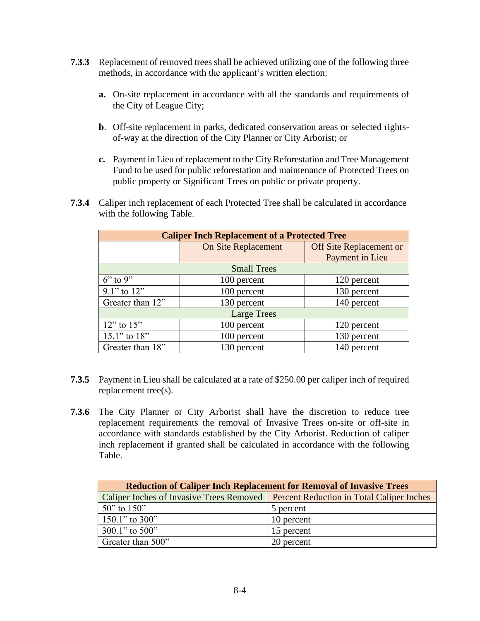- **7.3.3** Replacement of removed trees shall be achieved utilizing one of the following three methods, in accordance with the applicant's written election:
	- **a.** On-site replacement in accordance with all the standards and requirements of the City of League City;
	- **b**. Off-site replacement in parks, dedicated conservation areas or selected rightsof-way at the direction of the City Planner or City Arborist; or
	- **c.** Payment in Lieu of replacement to the City Reforestation and Tree Management Fund to be used for public reforestation and maintenance of Protected Trees on public property or Significant Trees on public or private property.
- **7.3.4** Caliper inch replacement of each Protected Tree shall be calculated in accordance with the following Table.

| <b>Caliper Inch Replacement of a Protected Tree</b> |                            |                         |
|-----------------------------------------------------|----------------------------|-------------------------|
|                                                     | <b>On Site Replacement</b> | Off Site Replacement or |
|                                                     |                            | Payment in Lieu         |
| <b>Small Trees</b>                                  |                            |                         |
| $6"$ to 9"                                          | 100 percent                | 120 percent             |
| $9.1$ " to $12$ "                                   | 100 percent                | 130 percent             |
| Greater than 12"                                    | 130 percent                | 140 percent             |
| <b>Large Trees</b>                                  |                            |                         |
| $12$ " to $15$ "                                    | 100 percent                | 120 percent             |
| 15.1" to 18"                                        | 100 percent                | 130 percent             |
| Greater than 18"                                    | 130 percent                | 140 percent             |

- **7.3.5** Payment in Lieu shall be calculated at a rate of \$250.00 per caliper inch of required replacement tree(s).
- **7.3.6** The City Planner or City Arborist shall have the discretion to reduce tree replacement requirements the removal of Invasive Trees on-site or off-site in accordance with standards established by the City Arborist. Reduction of caliper inch replacement if granted shall be calculated in accordance with the following Table.

| <b>Reduction of Caliper Inch Replacement for Removal of Invasive Trees</b>           |            |  |
|--------------------------------------------------------------------------------------|------------|--|
| Caliper Inches of Invasive Trees Removed   Percent Reduction in Total Caliper Inches |            |  |
| 50" to $150"$                                                                        | 5 percent  |  |
| $150.1$ " to 300"                                                                    | 10 percent |  |
| $300.1$ " to $500$ "                                                                 | 15 percent |  |
| Greater than 500"                                                                    | 20 percent |  |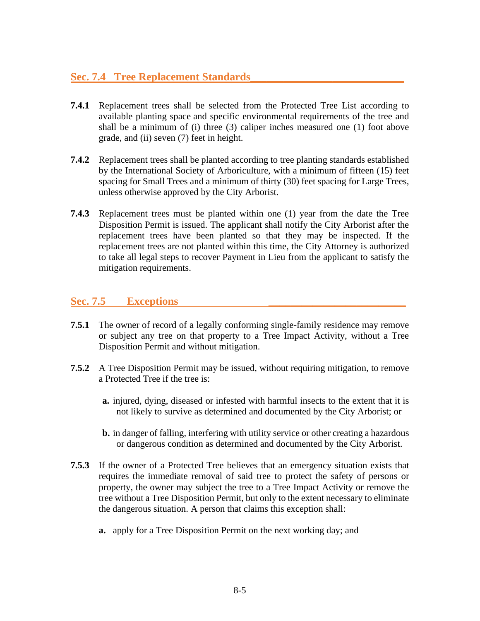# **Sec. 7.4 Tree Replacement Standards\_\_\_\_\_\_\_\_\_\_\_\_\_\_\_\_\_\_\_\_\_\_\_\_\_\_\_\_**

- **7.4.1** Replacement trees shall be selected from the Protected Tree List according to available planting space and specific environmental requirements of the tree and shall be a minimum of (i) three (3) caliper inches measured one (1) foot above grade, and (ii) seven (7) feet in height.
- **7.4.2** Replacement trees shall be planted according to tree planting standards established by the International Society of Arboriculture, with a minimum of fifteen (15) feet spacing for Small Trees and a minimum of thirty (30) feet spacing for Large Trees, unless otherwise approved by the City Arborist.
- **7.4.3** Replacement trees must be planted within one (1) year from the date the Tree Disposition Permit is issued. The applicant shall notify the City Arborist after the replacement trees have been planted so that they may be inspected. If the replacement trees are not planted within this time, the City Attorney is authorized to take all legal steps to recover Payment in Lieu from the applicant to satisfy the mitigation requirements.

#### Sec. 7.5 **Exceptions**

- **7.5.1** The owner of record of a legally conforming single-family residence may remove or subject any tree on that property to a Tree Impact Activity, without a Tree Disposition Permit and without mitigation.
- **7.5.2** A Tree Disposition Permit may be issued, without requiring mitigation, to remove a Protected Tree if the tree is:
	- **a.** injured, dying, diseased or infested with harmful insects to the extent that it is not likely to survive as determined and documented by the City Arborist; or
	- **b.** in danger of falling, interfering with utility service or other creating a hazardous or dangerous condition as determined and documented by the City Arborist.
- **7.5.3** If the owner of a Protected Tree believes that an emergency situation exists that requires the immediate removal of said tree to protect the safety of persons or property, the owner may subject the tree to a Tree Impact Activity or remove the tree without a Tree Disposition Permit, but only to the extent necessary to eliminate the dangerous situation. A person that claims this exception shall:
	- **a.** apply for a Tree Disposition Permit on the next working day; and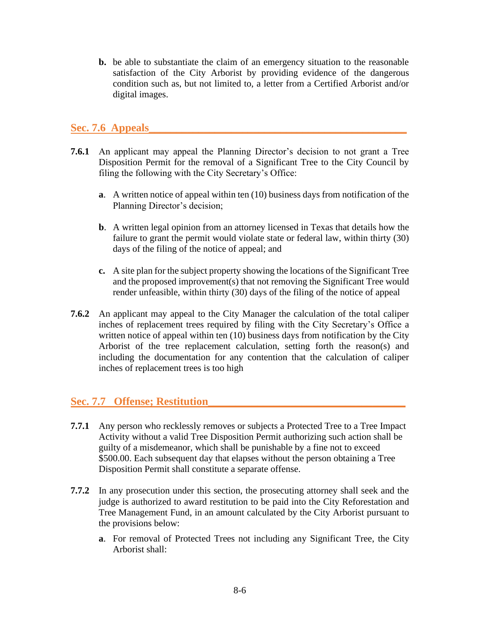**b.** be able to substantiate the claim of an emergency situation to the reasonable satisfaction of the City Arborist by providing evidence of the dangerous condition such as, but not limited to, a letter from a Certified Arborist and/or digital images.

#### Sec. 7.6 Appeals

- **7.6.1** An applicant may appeal the Planning Director's decision to not grant a Tree Disposition Permit for the removal of a Significant Tree to the City Council by filing the following with the City Secretary's Office:
	- **a**. A written notice of appeal within ten (10) business days from notification of the Planning Director's decision;
	- **b**. A written legal opinion from an attorney licensed in Texas that details how the failure to grant the permit would violate state or federal law, within thirty (30) days of the filing of the notice of appeal; and
	- **c.** A site plan for the subject property showing the locations of the Significant Tree and the proposed improvement(s) that not removing the Significant Tree would render unfeasible, within thirty (30) days of the filing of the notice of appeal
- **7.6.2** An applicant may appeal to the City Manager the calculation of the total caliper inches of replacement trees required by filing with the City Secretary's Office a written notice of appeal within ten (10) business days from notification by the City Arborist of the tree replacement calculation, setting forth the reason(s) and including the documentation for any contention that the calculation of caliper inches of replacement trees is too high

#### **Sec. 7.7 Offense; Restitution\_\_\_\_\_\_\_\_\_\_\_\_\_\_\_\_\_\_\_\_\_\_\_\_\_\_\_\_\_\_\_\_\_\_\_\_**

- **7.7.1** Any person who recklessly removes or subjects a Protected Tree to a Tree Impact Activity without a valid Tree Disposition Permit authorizing such action shall be guilty of a misdemeanor, which shall be punishable by a fine not to exceed \$500.00. Each subsequent day that elapses without the person obtaining a Tree Disposition Permit shall constitute a separate offense.
- **7.7.2** In any prosecution under this section, the prosecuting attorney shall seek and the judge is authorized to award restitution to be paid into the City Reforestation and Tree Management Fund, in an amount calculated by the City Arborist pursuant to the provisions below:
	- **a**. For removal of Protected Trees not including any Significant Tree, the City Arborist shall: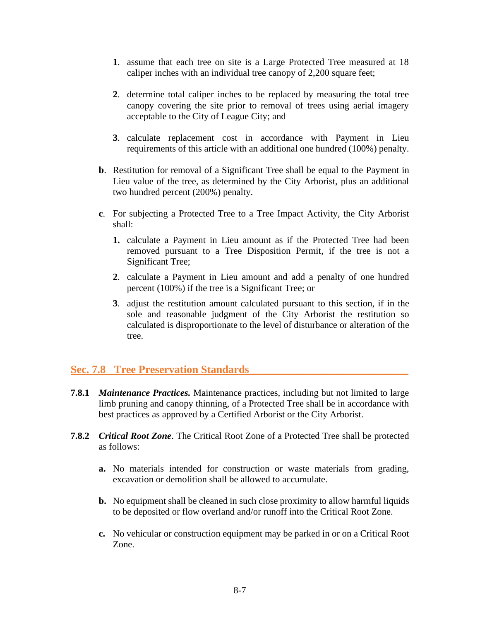- **1**. assume that each tree on site is a Large Protected Tree measured at 18 caliper inches with an individual tree canopy of 2,200 square feet;
- **2**. determine total caliper inches to be replaced by measuring the total tree canopy covering the site prior to removal of trees using aerial imagery acceptable to the City of League City; and
- **3**. calculate replacement cost in accordance with Payment in Lieu requirements of this article with an additional one hundred (100%) penalty.
- **b**. Restitution for removal of a Significant Tree shall be equal to the Payment in Lieu value of the tree, as determined by the City Arborist, plus an additional two hundred percent (200%) penalty.
- **c**. For subjecting a Protected Tree to a Tree Impact Activity, the City Arborist shall:
	- **1.** calculate a Payment in Lieu amount as if the Protected Tree had been removed pursuant to a Tree Disposition Permit, if the tree is not a Significant Tree;
	- **2**. calculate a Payment in Lieu amount and add a penalty of one hundred percent (100%) if the tree is a Significant Tree; or
	- **3**. adjust the restitution amount calculated pursuant to this section, if in the sole and reasonable judgment of the City Arborist the restitution so calculated is disproportionate to the level of disturbance or alteration of the tree.

# **Sec. 7.8 Tree Preservation Standards\_\_\_\_\_\_\_\_\_\_\_\_\_\_\_\_\_\_\_\_\_\_\_\_\_\_\_\_\_**

- **7.8.1** *Maintenance Practices.* Maintenance practices, including but not limited to large limb pruning and canopy thinning, of a Protected Tree shall be in accordance with best practices as approved by a Certified Arborist or the City Arborist.
- **7.8.2** *Critical Root Zone*. The Critical Root Zone of a Protected Tree shall be protected as follows:
	- **a.** No materials intended for construction or waste materials from grading, excavation or demolition shall be allowed to accumulate.
	- **b.** No equipment shall be cleaned in such close proximity to allow harmful liquids to be deposited or flow overland and/or runoff into the Critical Root Zone.
	- **c.** No vehicular or construction equipment may be parked in or on a Critical Root Zone.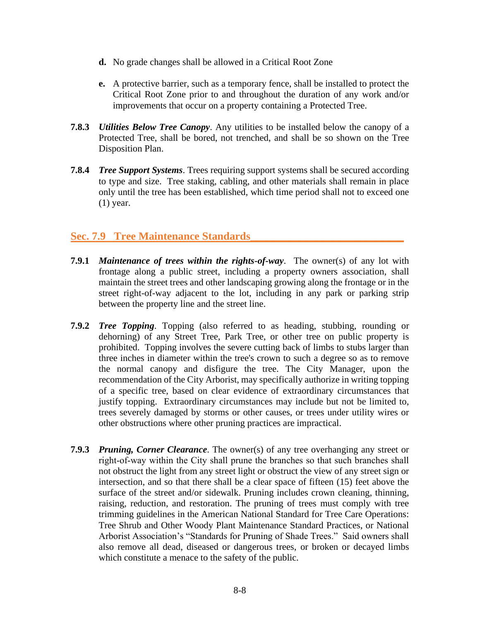- **d.** No grade changes shall be allowed in a Critical Root Zone
- **e.** A protective barrier, such as a temporary fence, shall be installed to protect the Critical Root Zone prior to and throughout the duration of any work and/or improvements that occur on a property containing a Protected Tree.
- **7.8.3** *Utilities Below Tree Canopy*. Any utilities to be installed below the canopy of a Protected Tree, shall be bored, not trenched, and shall be so shown on the Tree Disposition Plan.
- **7.8.4** *Tree Support Systems*. Trees requiring support systems shall be secured according to type and size. Tree staking, cabling, and other materials shall remain in place only until the tree has been established, which time period shall not to exceed one (1) year.

# **Sec. 7.9 Tree Maintenance Standards\_\_\_\_\_\_\_\_\_\_\_\_\_\_\_\_\_\_\_\_\_\_\_\_\_\_\_\_**

- **7.9.1** *Maintenance of trees within the rights-of-way*. The owner(s) of any lot with frontage along a public street, including a property owners association, shall maintain the street trees and other landscaping growing along the frontage or in the street right-of-way adjacent to the lot, including in any park or parking strip between the property line and the street line.
- **7.9.2** *Tree Topping*. Topping (also referred to as heading, stubbing, rounding or dehorning) of any Street Tree, Park Tree, or other tree on public property is prohibited. Topping involves the severe cutting back of limbs to stubs larger than three inches in diameter within the tree's crown to such a degree so as to remove the normal canopy and disfigure the tree. The City Manager, upon the recommendation of the City Arborist, may specifically authorize in writing topping of a specific tree, based on clear evidence of extraordinary circumstances that justify topping. Extraordinary circumstances may include but not be limited to, trees severely damaged by storms or other causes, or trees under utility wires or other obstructions where other pruning practices are impractical.
- **7.9.3** *Pruning, Corner Clearance*. The owner(s) of any tree overhanging any street or right‐of‐way within the City shall prune the branches so that such branches shall not obstruct the light from any street light or obstruct the view of any street sign or intersection, and so that there shall be a clear space of fifteen (15) feet above the surface of the street and/or sidewalk. Pruning includes crown cleaning, thinning, raising, reduction, and restoration. The pruning of trees must comply with tree trimming guidelines in the American National Standard for Tree Care Operations: Tree Shrub and Other Woody Plant Maintenance Standard Practices, or National Arborist Association's "Standards for Pruning of Shade Trees." Said owners shall also remove all dead, diseased or dangerous trees, or broken or decayed limbs which constitute a menace to the safety of the public.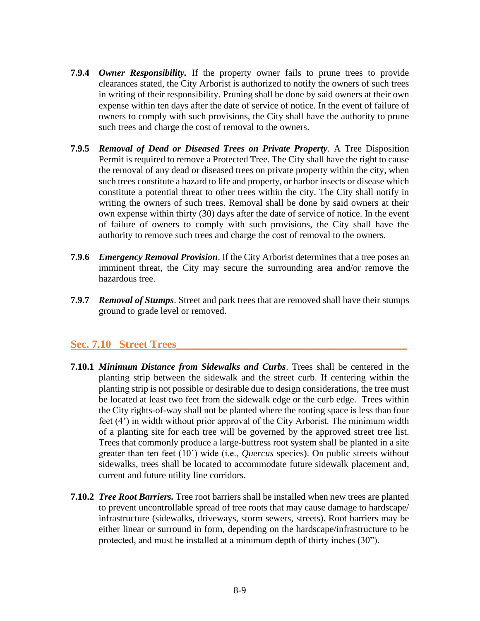- **7.9.4** *Owner Responsibility.* If the property owner fails to prune trees to provide clearances stated, the City Arborist is authorized to notify the owners of such trees in writing of their responsibility. Pruning shall be done by said owners at their own expense within ten days after the date of service of notice. In the event of failure of owners to comply with such provisions, the City shall have the authority to prune such trees and charge the cost of removal to the owners.
- **7.9.5** *Removal of Dead or Diseased Trees on Private Property*. A Tree Disposition Permit is required to remove a Protected Tree. The City shall have the right to cause the removal of any dead or diseased trees on private property within the city, when such trees constitute a hazard to life and property, or harbor insects or disease which constitute a potential threat to other trees within the city. The City shall notify in writing the owners of such trees. Removal shall be done by said owners at their own expense within thirty (30) days after the date of service of notice. In the event of failure of owners to comply with such provisions, the City shall have the authority to remove such trees and charge the cost of removal to the owners.
- **7.9.6** *Emergency Removal Provision*. If the City Arborist determines that a tree poses an imminent threat, the City may secure the surrounding area and/or remove the hazardous tree.
- **7.9.7** *Removal of Stumps*. Street and park trees that are removed shall have their stumps ground to grade level or removed.

#### **Sec. 7.10 Street Trees\_\_\_\_\_\_\_\_\_\_\_\_\_\_\_\_\_\_\_\_\_\_\_\_\_\_\_\_\_\_\_\_\_\_\_\_\_\_\_\_\_\_**

- **7.10.1** *Minimum Distance from Sidewalks and Curbs*. Trees shall be centered in the planting strip between the sidewalk and the street curb. If centering within the planting strip is not possible or desirable due to design considerations, the tree must be located at least two feet from the sidewalk edge or the curb edge. Trees within the City rights-of-way shall not be planted where the rooting space is less than four feet (4') in width without prior approval of the City Arborist. The minimum width of a planting site for each tree will be governed by the approved street tree list. Trees that commonly produce a large-buttress root system shall be planted in a site greater than ten feet (10') wide (i.e., *Quercus* species). On public streets without sidewalks, trees shall be located to accommodate future sidewalk placement and, current and future utility line corridors.
- **7.10.2** *Tree Root Barriers.* Tree root barriers shall be installed when new trees are planted to prevent uncontrollable spread of tree roots that may cause damage to hardscape/ infrastructure (sidewalks, driveways, storm sewers, streets). Root barriers may be either linear or surround in form, depending on the hardscape/infrastructure to be protected, and must be installed at a minimum depth of thirty inches (30").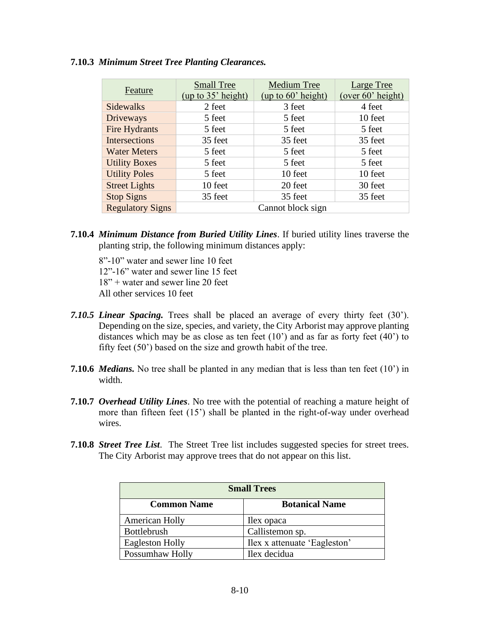|                         | <b>Small Tree</b>  | <b>Medium Tree</b> | <b>Large Tree</b> |
|-------------------------|--------------------|--------------------|-------------------|
| Feature                 | (up to 35' height) | (up to 60' height) | (over 60' height) |
| <b>Sidewalks</b>        | 2 feet             | 3 feet             | 4 feet            |
| Driveways               | 5 feet             | 5 feet             | 10 feet           |
| Fire Hydrants           | 5 feet             | 5 feet             | 5 feet            |
| <b>Intersections</b>    | 35 feet            | 35 feet            | 35 feet           |
| <b>Water Meters</b>     | 5 feet             | 5 feet             | 5 feet            |
| <b>Utility Boxes</b>    | 5 feet             | 5 feet             | 5 feet            |
| <b>Utility Poles</b>    | 5 feet             | 10 feet            | 10 feet           |
| <b>Street Lights</b>    | 10 feet            | 20 feet            | 30 feet           |
| <b>Stop Signs</b>       | 35 feet            | 35 feet            | 35 feet           |
| <b>Regulatory Signs</b> |                    | Cannot block sign  |                   |

#### **7.10.3** *Minimum Street Tree Planting Clearances.*

- **7.10.4** *Minimum Distance from Buried Utility Lines*. If buried utility lines traverse the planting strip, the following minimum distances apply:
	- 8"-10" water and sewer line 10 feet 12"-16" water and sewer line 15 feet 18" + water and sewer line 20 feet All other services 10 feet
- *7.10.5 Linear Spacing.* Trees shall be placed an average of every thirty feet (30'). Depending on the size, species, and variety, the City Arborist may approve planting distances which may be as close as ten feet  $(10')$  and as far as forty feet  $(40')$  to fifty feet (50') based on the size and growth habit of the tree.
- **7.10.6** *Medians.* No tree shall be planted in any median that is less than ten feet (10') in width.
- **7.10.7** *Overhead Utility Lines*. No tree with the potential of reaching a mature height of more than fifteen feet (15') shall be planted in the right-of-way under overhead wires.
- **7.10.8** *Street Tree List*. The Street Tree list includes suggested species for street trees. The City Arborist may approve trees that do not appear on this list.

| <b>Small Trees</b>     |                              |  |
|------------------------|------------------------------|--|
| <b>Common Name</b>     | <b>Botanical Name</b>        |  |
| American Holly         | Ilex opaca                   |  |
| <b>Bottlebrush</b>     | Callistemon sp.              |  |
| <b>Eagleston Holly</b> | Ilex x attenuate 'Eagleston' |  |
| Possumhaw Holly        | Ilex decidua                 |  |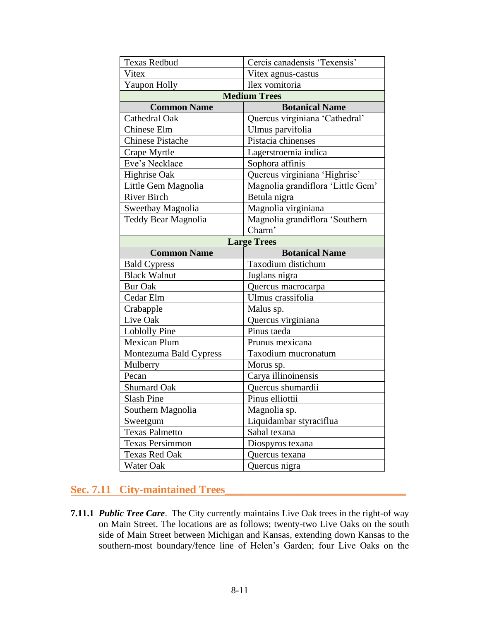| <b>Texas Redbud</b>        | Cercis canadensis 'Texensis'      |  |
|----------------------------|-----------------------------------|--|
| Vitex                      | Vitex agnus-castus                |  |
| Yaupon Holly               | Ilex vomitoria                    |  |
|                            | <b>Medium Trees</b>               |  |
| <b>Common Name</b>         | <b>Botanical Name</b>             |  |
| Cathedral Oak              | Quercus virginiana 'Cathedral'    |  |
| Chinese Elm                | Ulmus parvifolia                  |  |
| <b>Chinese Pistache</b>    | Pistacia chinenses                |  |
| Crape Myrtle               | Lagerstroemia indica              |  |
| Eve's Necklace             | Sophora affinis                   |  |
| Highrise Oak               | Quercus virginiana 'Highrise'     |  |
| Little Gem Magnolia        | Magnolia grandiflora 'Little Gem' |  |
| <b>River Birch</b>         | Betula nigra                      |  |
| Sweetbay Magnolia          | Magnolia virginiana               |  |
| <b>Teddy Bear Magnolia</b> | Magnolia grandiflora 'Southern    |  |
|                            | Charm'                            |  |
| <b>Large Trees</b>         |                                   |  |
| <b>Common Name</b>         | <b>Botanical Name</b>             |  |
| <b>Bald Cypress</b>        | Taxodium distichum                |  |
| <b>Black Walnut</b>        | Juglans nigra                     |  |
| <b>Bur Oak</b>             | Quercus macrocarpa                |  |
| Cedar Elm                  | Ulmus crassifolia                 |  |
| Crabapple                  | Malus sp.                         |  |
| Live Oak                   | Quercus virginiana                |  |
| Loblolly Pine              | Pinus taeda                       |  |
| <b>Mexican Plum</b>        | Prunus mexicana                   |  |
| Montezuma Bald Cypress     | Taxodium mucronatum               |  |
| Mulberry                   | Morus sp.                         |  |
| Pecan                      | Carya illinoinensis               |  |
| <b>Shumard Oak</b>         | Quercus shumardii                 |  |
| <b>Slash Pine</b>          | Pinus elliottii                   |  |
| Southern Magnolia          | Magnolia sp.                      |  |
| Sweetgum                   |                                   |  |
|                            | Liquidambar styraciflua           |  |
| <b>Texas Palmetto</b>      | Sabal texana                      |  |
| <b>Texas Persimmon</b>     | Diospyros texana                  |  |
| <b>Texas Red Oak</b>       | Quercus texana                    |  |

# **Sec. 7.11 City-maintained Trees\_\_\_\_\_\_\_\_\_\_\_\_\_\_\_\_\_\_\_\_\_\_\_\_\_\_\_\_\_\_\_\_\_**

**7.11.1** *Public Tree Care*. The City currently maintains Live Oak trees in the right-of way on Main Street. The locations are as follows; twenty-two Live Oaks on the south side of Main Street between Michigan and Kansas, extending down Kansas to the southern-most boundary/fence line of Helen's Garden; four Live Oaks on the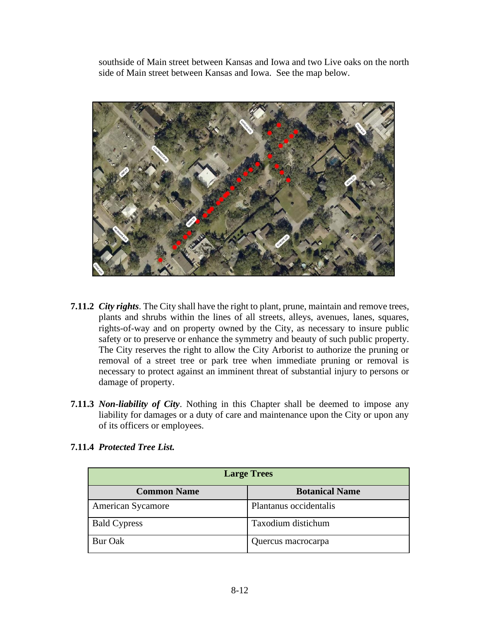southside of Main street between Kansas and Iowa and two Live oaks on the north side of Main street between Kansas and Iowa. See the map below.



- **7.11.2** *City rights*. The City shall have the right to plant, prune, maintain and remove trees, plants and shrubs within the lines of all streets, alleys, avenues, lanes, squares, rights-of-way and on property owned by the City, as necessary to insure public safety or to preserve or enhance the symmetry and beauty of such public property. The City reserves the right to allow the City Arborist to authorize the pruning or removal of a street tree or park tree when immediate pruning or removal is necessary to protect against an imminent threat of substantial injury to persons or damage of property.
- **7.11.3** *Non-liability of City*. Nothing in this Chapter shall be deemed to impose any liability for damages or a duty of care and maintenance upon the City or upon any of its officers or employees.

| <b>Large Trees</b>       |                        |
|--------------------------|------------------------|
| <b>Common Name</b>       | <b>Botanical Name</b>  |
| <b>American Sycamore</b> | Plantanus occidentalis |
| <b>Bald Cypress</b>      | Taxodium distichum     |
| Bur Oak                  | Quercus macrocarpa     |

#### **7.11.4** *Protected Tree List.*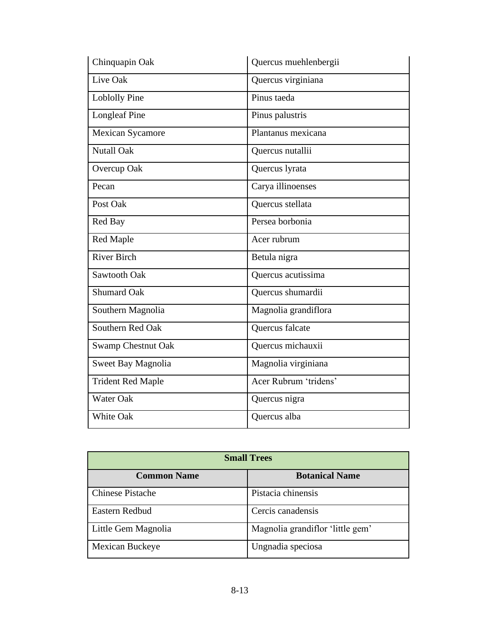| Chinquapin Oak            | Quercus muehlenbergii |
|---------------------------|-----------------------|
| Live Oak                  | Quercus virginiana    |
| <b>Loblolly Pine</b>      | Pinus taeda           |
| <b>Longleaf Pine</b>      | Pinus palustris       |
| <b>Mexican Sycamore</b>   | Plantanus mexicana    |
| <b>Nutall Oak</b>         | Quercus nutallii      |
| Overcup Oak               | Quercus lyrata        |
| Pecan                     | Carya illinoenses     |
| Post Oak                  | Quercus stellata      |
| Red Bay                   | Persea borbonia       |
| Red Maple                 | Acer rubrum           |
| <b>River Birch</b>        | Betula nigra          |
| Sawtooth Oak              | Quercus acutissima    |
| <b>Shumard Oak</b>        | Quercus shumardii     |
| Southern Magnolia         | Magnolia grandiflora  |
| Southern Red Oak          | Quercus falcate       |
| <b>Swamp Chestnut Oak</b> | Quercus michauxii     |
| Sweet Bay Magnolia        | Magnolia virginiana   |
| <b>Trident Red Maple</b>  | Acer Rubrum 'tridens' |
| Water Oak                 | Quercus nigra         |
| <b>White Oak</b>          | Quercus alba          |

| <b>Small Trees</b>      |                                  |
|-------------------------|----------------------------------|
| <b>Common Name</b>      | <b>Botanical Name</b>            |
| <b>Chinese Pistache</b> | Pistacia chinensis               |
| Eastern Redbud          | Cercis canadensis                |
| Little Gem Magnolia     | Magnolia grandiflor 'little gem' |
| Mexican Buckeye         | Ungnadia speciosa                |